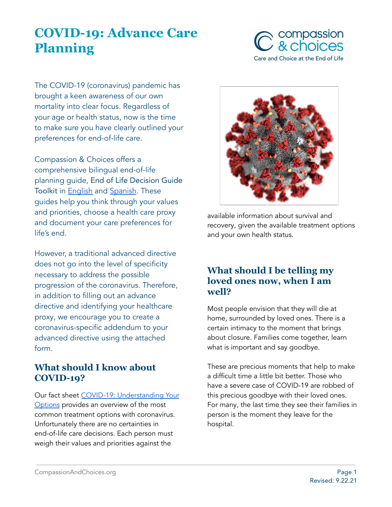# **COVID-19: Advance Care Planning**



The COVID-19 (coronavirus) pandemic has brought a keen awareness of our own mortality into clear focus. Regardless of your age or health status, now is the time to make sure you have clearly outlined your preferences for end-of-life care.

Compassion & Choices offers a comprehensive bilingual end-of-life planning guide, End of Life Decision Guide Toolkit in [English](https://compassionandchoices.org/resource/my-end-of-life-decisions-an-advance-planning-guide-and-toolkit/) and [Spanish](https://compassionandchoices.org/resource/mis-decisiones-al-final-de-la-vida/). These guides help you think through your values and priorities, choose a health care proxy and document your care preferences for life's end.

However, a traditional advanced directive does not go into the level of specificity necessary to address the possible progression of the coronavirus. Therefore, in addition to filling out an advance directive and identifying your healthcare proxy, we encourage you to create a coronavirus-specific addendum to your advanced directive using the attached form.

# **What should I know about COVID-19?**

Our fact sheet COVID-19: [Understanding](https://compassionandchoices.org/resource/covid-19-understanding-your-options/) Your [Options](https://compassionandchoices.org/resource/covid-19-understanding-your-options/) provides an overview of the most common treatment options with coronavirus. Unfortunately there are no certainties in end-of-life care decisions. Each person must weigh their values and priorities against the



available information about survival and recovery, given the available treatment options and your own health status.

## **What should I be telling my loved ones now, when I am well?**

Most people envision that they will die at home, surrounded by loved ones. There is a certain intimacy to the moment that brings about closure. Families come together, learn what is important and say goodbye.

These are precious moments that help to make a difficult time a little bit better. Those who have a severe case of COVID-19 are robbed of this precious goodbye with their loved ones. For many, the last time they see their families in person is the moment they leave for the hospital.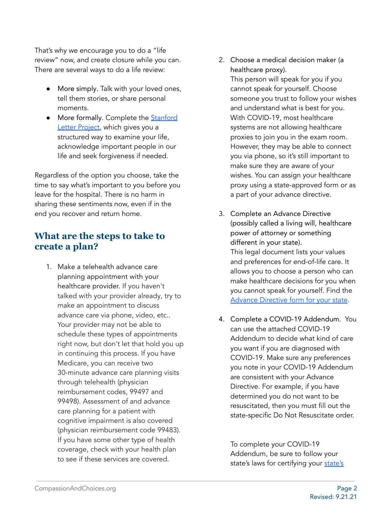That's why we encourage you to do a "life review" now, and create closure while you can. There are several ways to do a life review:

- More simply. Talk with your loved ones, tell them stories, or share personal moments.
- More formally. Complete the [Stanford](https://med.stanford.edu/letter.html) Letter [Project,](https://med.stanford.edu/letter.html) which gives you a structured way to examine your life, acknowledge important people in our life and seek forgiveness if needed.

Regardless of the option you choose, take the time to say what's important to you before you leave for the hospital. There is no harm in sharing these sentiments now, even if in the end you recover and return home.

## **What are the steps to take to create a plan?**

1. Make a telehealth advance care planning appointment with your healthcare provider. If you haven't talked with your provider already, try to make an appointment to discuss advance care via phone, video, etc.. Your provider may not be able to schedule these types of appointments right now, but don't let that hold you up in continuing this process. If you have Medicare, you can receive two 30-minute advance care planning visits through telehealth (physician reimbursement codes, 99497 and 99498). Assessment of and advance care planning for a patient with cognitive impairment is also covered (physician reimbursement code 99483). If you have some other type of health coverage, check with your health plan to see if these services are covered.

2. Choose a medical decision maker (a healthcare proxy).

This person will speak for you if you cannot speak for yourself. Choose someone you trust to follow your wishes and understand what is best for you. With COVID-19, most healthcare systems are not allowing healthcare proxies to join you in the exam room. However, they may be able to connect you via phone, so it's still important to make sure they are aware of your wishes. You can assign your healthcare proxy using a state-approved form or as a part of your advance directive.

- 3. Complete an Advance Directive (possibly called a living will, healthcare power of attorney or something different in your state). This legal document lists your values and preferences for end-of-life care. It allows you to choose a person who can make healthcare decisions for you when you cannot speak for yourself. Find th[e](https://compassionandchoices.org/end-of-life-planning/plan/advance-directives/) Advance [Directive](https://compassionandchoices.org/end-of-life-planning/plan/advance-directives/) form for your state.
- 4. Complete a COVID-19 Addendum. You can use the attached COVID-19 Addendum to decide what kind of care you want if you are diagnosed with COVID-19. Make sure any preferences you note in your COVID-19 Addendum are consistent with your Advance Directive. For example, if you have determined you do not want to be resuscitated, then you must fill out the state-specific Do Not Resuscitate order.

To complete your COVID-19 Addendum, be sure to follow your [state's](https://compassionandchoices.org/end-of-life-planning/plan/advance-directives/) laws for certifying your state's